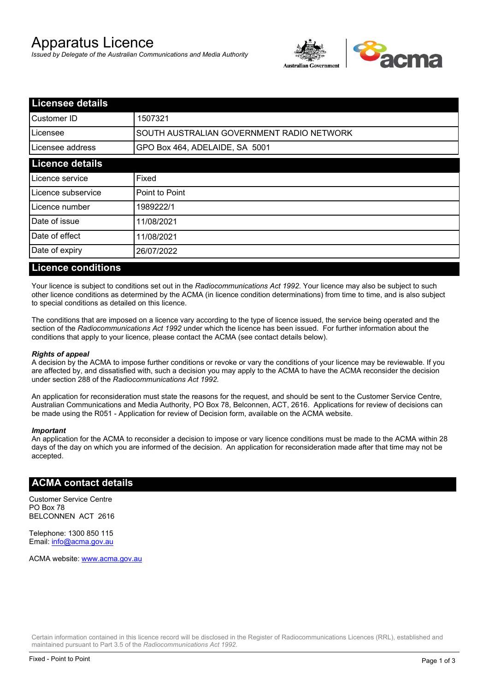# Apparatus Licence

*Issued by Delegate of the Australian Communications and Media Authority*



| <b>Licensee details</b>                   |  |  |  |
|-------------------------------------------|--|--|--|
| 1507321                                   |  |  |  |
| SOUTH AUSTRALIAN GOVERNMENT RADIO NETWORK |  |  |  |
| GPO Box 464, ADELAIDE, SA 5001            |  |  |  |
|                                           |  |  |  |
| Fixed                                     |  |  |  |
| Point to Point                            |  |  |  |
| 1989222/1                                 |  |  |  |
| 11/08/2021                                |  |  |  |
| 11/08/2021                                |  |  |  |
| 26/07/2022                                |  |  |  |
|                                           |  |  |  |

### **Licence conditions**

Your licence is subject to conditions set out in the *Radiocommunications Act 1992*. Your licence may also be subject to such other licence conditions as determined by the ACMA (in licence condition determinations) from time to time, and is also subject to special conditions as detailed on this licence.

The conditions that are imposed on a licence vary according to the type of licence issued, the service being operated and the section of the *Radiocommunications Act 1992* under which the licence has been issued. For further information about the conditions that apply to your licence, please contact the ACMA (see contact details below).

#### *Rights of appeal*

A decision by the ACMA to impose further conditions or revoke or vary the conditions of your licence may be reviewable. If you are affected by, and dissatisfied with, such a decision you may apply to the ACMA to have the ACMA reconsider the decision under section 288 of the *Radiocommunications Act 1992*.

An application for reconsideration must state the reasons for the request, and should be sent to the Customer Service Centre, Australian Communications and Media Authority, PO Box 78, Belconnen, ACT, 2616. Applications for review of decisions can be made using the R051 - Application for review of Decision form, available on the ACMA website.

#### *Important*

An application for the ACMA to reconsider a decision to impose or vary licence conditions must be made to the ACMA within 28 days of the day on which you are informed of the decision. An application for reconsideration made after that time may not be accepted.

#### **ACMA contact details**

Customer Service Centre PO Box 78 BELCONNEN ACT 2616

Telephone: 1300 850 115 Email: info@acma.gov.au

ACMA website: www.acma.gov.au

Certain information contained in this licence record will be disclosed in the Register of Radiocommunications Licences (RRL), established and maintained pursuant to Part 3.5 of the *Radiocommunications Act 1992.*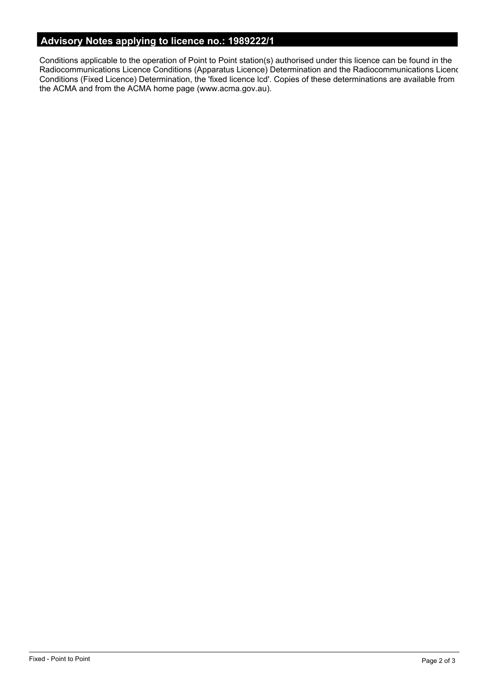# **Advisory Notes applying to licence no.: 1989222/1**

Conditions applicable to the operation of Point to Point station(s) authorised under this licence can be found in the Radiocommunications Licence Conditions (Apparatus Licence) Determination and the Radiocommunications Licence Conditions (Fixed Licence) Determination, the 'fixed licence lcd'. Copies of these determinations are available from the ACMA and from the ACMA home page (www.acma.gov.au).